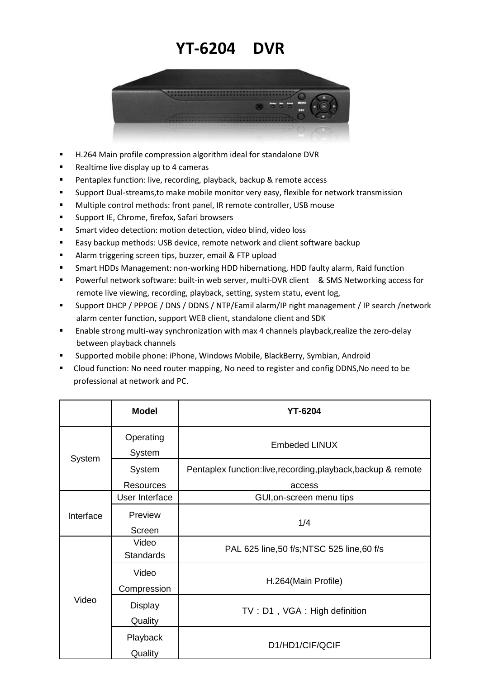## **YT-6204 DVR**



- H.264 Main profile compression algorithm ideal for standalone DVR
- **Realtime live display up to 4 cameras**
- **Pentaplex function: live, recording, playback, backup & remote access**
- **Support Dual-streams, to make mobile monitor very easy, flexible for network transmission**
- **Multiple control methods: front panel, IR remote controller, USB mouse**
- **Support IE, Chrome, firefox, Safari browsers**
- Smart video detection: motion detection, video blind, video loss
- Easy backup methods: USB device, remote network and client software backup
- **Alarm triggering screen tips, buzzer, email & FTP upload**
- Smart HDDs Management: non-working HDD hibernationg, HDD faulty alarm, Raid function
- Powerful network software: built-in web server, multi-DVR client & SMS Networking access for remote live viewing, recording, playback, setting, system statu, event log,
- Support DHCP / PPPOE / DNS / DDNS / NTP/Eamil alarm/IP right management / IP search /network alarm center function, support WEB client, standalone client and SDK
- Enable strong multi-way synchronization with max 4 channels playback,realize the zero-delay between playback channels
- Supported mobile phone: iPhone, Windows Mobile, BlackBerry, Symbian, Android
- Cloud function: No need router mapping, No need to register and config DDNS,No need to be professional at network and PC.

|           | <b>Model</b>     | <b>YT-6204</b>                                                |
|-----------|------------------|---------------------------------------------------------------|
| System    | Operating        | <b>Embeded LINUX</b>                                          |
|           | System           |                                                               |
|           | System           | Pentaplex function:live, recording, playback, backup & remote |
|           | <b>Resources</b> | access                                                        |
| Interface | User Interface   | GUI, on-screen menu tips                                      |
|           | Preview          | 1/4                                                           |
|           | Screen           |                                                               |
| Video     | Video            | PAL 625 line, 50 f/s; NTSC 525 line, 60 f/s                   |
|           | <b>Standards</b> |                                                               |
|           | Video            | H.264(Main Profile)                                           |
|           | Compression      |                                                               |
|           | <b>Display</b>   | TV: D1, VGA: High definition                                  |
|           | Quality          |                                                               |
|           | Playback         | D1/HD1/CIF/QCIF                                               |
|           | Quality          |                                                               |